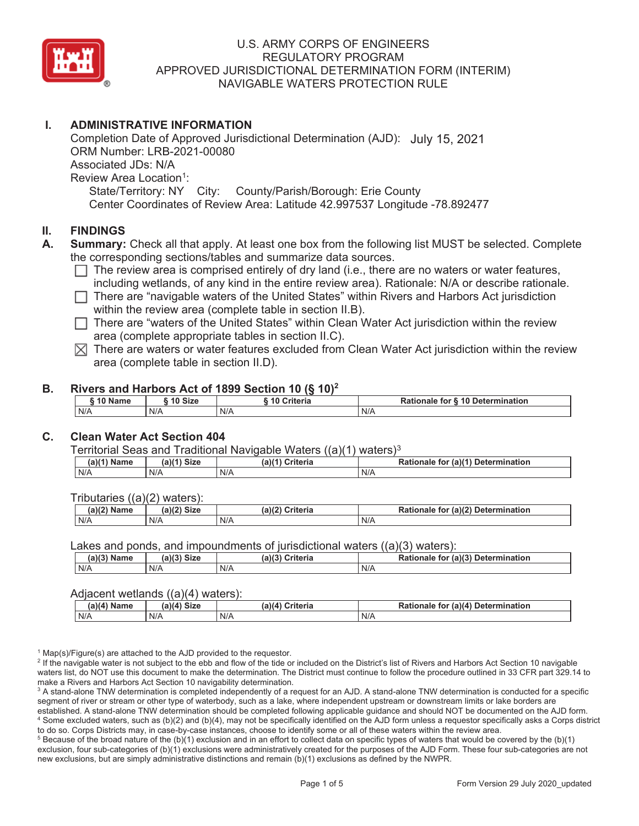

## **I. ADMINISTRATIVE INFORMATION**

Completion Date of Approved Jurisdictional Determination (AJD): July 15, 2021ORM Number: LRB-2021-00080 Associated JDs: N/A Review Area Location<sup>1</sup>: State/Territory: NY City: County/Parish/Borough: Erie County Center Coordinates of Review Area: Latitude 42.997537 Longitude -78.892477

#### **II. FINDINGS**

- **A. Summary:** Check all that apply. At least one box from the following list MUST be selected. Complete the corresponding sections/tables and summarize data sources.
	- $\Box$  The review area is comprised entirely of dry land (i.e., there are no waters or water features, including wetlands, of any kind in the entire review area). Rationale: N/A or describe rationale.
	- $\Box$  There are "navigable waters of the United States" within Rivers and Harbors Act jurisdiction within the review area (complete table in section II.B).
	- $\Box$  There are "waters of the United States" within Clean Water Act jurisdiction within the review area (complete appropriate tables in section II.C).
	- $\boxtimes$  There are waters or water features excluded from Clean Water Act jurisdiction within the review area (complete table in section II.D).

#### **B. Rivers and Harbors Act of 1899 Section 10 (§ 10)2**

| 10 Name | ີ <sup>4</sup> 0 Size |  | <b>Criteria</b> | .<br>Rationale for § 10 Determination |  |
|---------|-----------------------|--|-----------------|---------------------------------------|--|
| N/A     | N/A                   |  | N/A             | N/A                                   |  |

#### **C. Clean Water Act Section 404**

Territorial Seas and Traditional Navigable Waters  $((a)(1)$  waters)<sup>3</sup>

|     | 111<br>$\sim$<br>ж | $-111$<br>م است کا اس<br>Πσ<br> | --------<br>.<br>īΟ<br>Jete<br>าลเค |  |  |
|-----|--------------------|---------------------------------|-------------------------------------|--|--|
| N/F | N/A                | N/F                             | N/A                                 |  |  |

Tributaries ((a)(2) waters):

| $\mathbf{1}$<br>$ -$<br>$\sim$ Nomes | $-1101$<br>$C^{\dagger}$<br>oizt | (a)(2)<br>™uito uic<br>πιθπα | (2)<br>$-1 - - -$<br>าination<br>Jete |  |  |  |
|--------------------------------------|----------------------------------|------------------------------|---------------------------------------|--|--|--|
| N/A                                  | N/A                              | N/A                          | N/A                                   |  |  |  |

Lakes and ponds, and impoundments of iurisdictional waters ((a)(3) waters):

| (a)(3) Name | (a)(?')<br>° Siz∈ | (a)(3)<br><b>Criteria</b> | (a)(3)<br>Determination<br><b>Rationale</b><br>tor |  |  |
|-------------|-------------------|---------------------------|----------------------------------------------------|--|--|
| N/A         | N/A               | N/F                       | N/A                                                |  |  |

#### Adjacent wetlands ((a)(4) waters):

|             | .                               |                 |                                              |  |  |  |  |
|-------------|---------------------------------|-----------------|----------------------------------------------|--|--|--|--|
| (a)(4) Name | <b>Size</b><br>$-1141$<br>. 110 | (a)(4) Criteria | for (a)(4) Determination<br><b>Rationale</b> |  |  |  |  |
| N/A         | N/A                             | N/A             | N/A                                          |  |  |  |  |

<sup>1</sup> Map(s)/Figure(s) are attached to the AJD provided to the requestor.

<sup>2</sup> If the navigable water is not subject to the ebb and flow of the tide or included on the District's list of Rivers and Harbors Act Section 10 navigable waters list, do NOT use this document to make the determination. The District must continue to follow the procedure outlined in 33 CFR part 329.14 to make a Rivers and Harbors Act Section 10 navigability determination.

 $^3$  A stand-alone TNW determination is completed independently of a request for an AJD. A stand-alone TNW determination is conducted for a specific segment of river or stream or other type of waterbody, such as a lake, where independent upstream or downstream limits or lake borders are established. A stand-alone TNW determination should be completed following applicable guidance and should NOT be documented on the AJD form. 4 Some excluded waters, such as (b)(2) and (b)(4), may not be specifically identified on the AJD form unless a requestor specifically asks a Corps district to do so. Corps Districts may, in case-by-case instances, choose to identify some or all of these waters within the review area. 5

 $5$  Because of the broad nature of the (b)(1) exclusion and in an effort to collect data on specific types of waters that would be covered by the (b)(1) exclusion, four sub-categories of (b)(1) exclusions were administratively created for the purposes of the AJD Form. These four sub-categories are not new exclusions, but are simply administrative distinctions and remain (b)(1) exclusions as defined by the NWPR.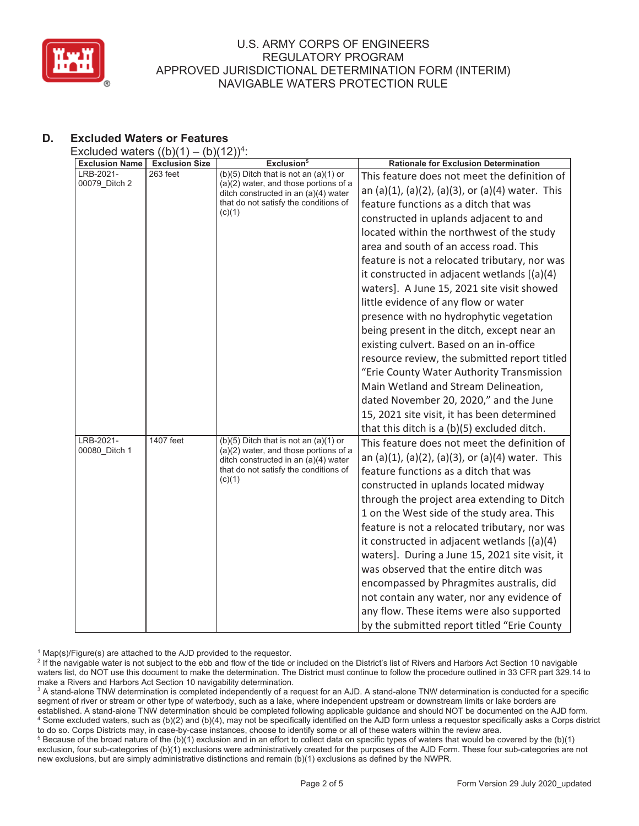

# **D. Excluded Waters or Features**

Excluded waters  $((b)(1) - (b)(12))^{4}$ 

| <b>Exclusion Name</b>      | $\sqrt{2}$<br><b>Exclusion Size</b> | .,,<br>Exclusion <sup>5</sup>                                                                                                                                                   | <b>Rationale for Exclusion Determination</b>     |
|----------------------------|-------------------------------------|---------------------------------------------------------------------------------------------------------------------------------------------------------------------------------|--------------------------------------------------|
| LRB-2021-                  | 263 feet                            | $(b)(5)$ Ditch that is not an $(a)(1)$ or                                                                                                                                       | This feature does not meet the definition of     |
| 00079 Ditch 2              |                                     | $(a)(2)$ water, and those portions of a<br>ditch constructed in an (a)(4) water                                                                                                 | an (a)(1), (a)(2), (a)(3), or (a)(4) water. This |
|                            |                                     | that do not satisfy the conditions of<br>(c)(1)                                                                                                                                 | feature functions as a ditch that was            |
|                            |                                     |                                                                                                                                                                                 | constructed in uplands adjacent to and           |
|                            |                                     |                                                                                                                                                                                 | located within the northwest of the study        |
|                            |                                     |                                                                                                                                                                                 | area and south of an access road. This           |
|                            |                                     |                                                                                                                                                                                 | feature is not a relocated tributary, nor was    |
|                            |                                     |                                                                                                                                                                                 | it constructed in adjacent wetlands [(a)(4)      |
|                            |                                     |                                                                                                                                                                                 | waters]. A June 15, 2021 site visit showed       |
|                            |                                     |                                                                                                                                                                                 | little evidence of any flow or water             |
|                            |                                     |                                                                                                                                                                                 | presence with no hydrophytic vegetation          |
|                            |                                     |                                                                                                                                                                                 | being present in the ditch, except near an       |
|                            |                                     |                                                                                                                                                                                 | existing culvert. Based on an in-office          |
|                            |                                     |                                                                                                                                                                                 | resource review, the submitted report titled     |
|                            |                                     |                                                                                                                                                                                 | "Erie County Water Authority Transmission        |
|                            |                                     |                                                                                                                                                                                 | Main Wetland and Stream Delineation,             |
|                            |                                     |                                                                                                                                                                                 | dated November 20, 2020," and the June           |
|                            |                                     |                                                                                                                                                                                 | 15, 2021 site visit, it has been determined      |
|                            |                                     |                                                                                                                                                                                 | that this ditch is a (b)(5) excluded ditch.      |
| LRB-2021-<br>00080 Ditch 1 | 1407 feet                           | $(b)(5)$ Ditch that is not an $(a)(1)$ or<br>$(a)(2)$ water, and those portions of a<br>ditch constructed in an (a)(4) water<br>that do not satisfy the conditions of<br>(c)(1) | This feature does not meet the definition of     |
|                            |                                     |                                                                                                                                                                                 | an (a)(1), (a)(2), (a)(3), or (a)(4) water. This |
|                            |                                     |                                                                                                                                                                                 | feature functions as a ditch that was            |
|                            |                                     |                                                                                                                                                                                 | constructed in uplands located midway            |
|                            |                                     |                                                                                                                                                                                 | through the project area extending to Ditch      |
|                            |                                     |                                                                                                                                                                                 | 1 on the West side of the study area. This       |
|                            |                                     |                                                                                                                                                                                 | feature is not a relocated tributary, nor was    |
|                            |                                     |                                                                                                                                                                                 | it constructed in adjacent wetlands [(a)(4)      |
|                            |                                     |                                                                                                                                                                                 | waters]. During a June 15, 2021 site visit, it   |
|                            |                                     |                                                                                                                                                                                 | was observed that the entire ditch was           |
|                            |                                     |                                                                                                                                                                                 | encompassed by Phragmites australis, did         |
|                            |                                     |                                                                                                                                                                                 | not contain any water, nor any evidence of       |
|                            |                                     |                                                                                                                                                                                 | any flow. These items were also supported        |
|                            |                                     |                                                                                                                                                                                 | by the submitted report titled "Erie County      |

<sup>1</sup> Map(s)/Figure(s) are attached to the AJD provided to the requestor.

<sup>2</sup> If the navigable water is not subject to the ebb and flow of the tide or included on the District's list of Rivers and Harbors Act Section 10 navigable waters list, do NOT use this document to make the determination. The District must continue to follow the procedure outlined in 33 CFR part 329.14 to make a Rivers and Harbors Act Section 10 navigability determination.

 $^3$  A stand-alone TNW determination is completed independently of a request for an AJD. A stand-alone TNW determination is conducted for a specific segment of river or stream or other type of waterbody, such as a lake, where independent upstream or downstream limits or lake borders are established. A stand-alone TNW determination should be completed following applicable guidance and should NOT be documented on the AJD form. 4 Some excluded waters, such as (b)(2) and (b)(4), may not be specifically identified on the AJD form unless a requestor specifically asks a Corps district to do so. Corps Districts may, in case-by-case instances, choose to identify some or all of these waters within the review area. 5

 $5$  Because of the broad nature of the (b)(1) exclusion and in an effort to collect data on specific types of waters that would be covered by the (b)(1) exclusion, four sub-categories of (b)(1) exclusions were administratively created for the purposes of the AJD Form. These four sub-categories are not new exclusions, but are simply administrative distinctions and remain (b)(1) exclusions as defined by the NWPR.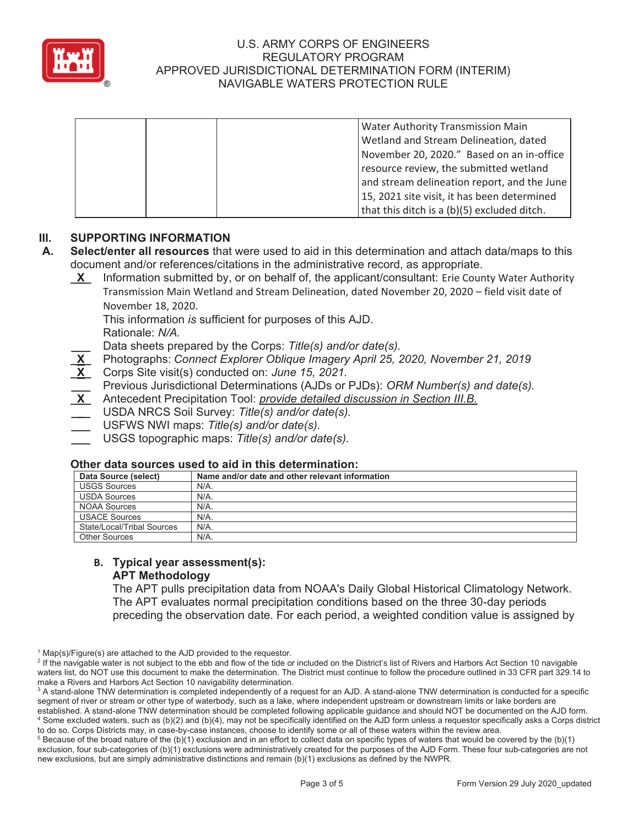

|  | <b>Water Authority Transmission Main</b>    |
|--|---------------------------------------------|
|  | Wetland and Stream Delineation, dated       |
|  | November 20, 2020." Based on an in-office   |
|  | resource review, the submitted wetland      |
|  | and stream delineation report, and the June |
|  | 15, 2021 site visit, it has been determined |
|  | that this ditch is a (b)(5) excluded ditch. |

## **III. SUPPORTING INFORMATION**

- **A. Select/enter all resources** that were used to aid in this determination and attach data/maps to this document and/or references/citations in the administrative record, as appropriate.
	- **\_X\_** Information submitted by, or on behalf of, the applicant/consultant: Erie County Water Authority Transmission Main Wetland and Stream Delineation, dated November 20, 2020 – field visit date of November 18, 2020.

This information *is* sufficient for purposes of this AJD. Rationale: *N/A.*

**\_\_\_** Data sheets prepared by the Corps: *Title(s) and/or date(s).*

- **\_X\_** Photographs: *Connect Explorer Oblique Imagery April 25, 2020, November 21, 2019*
- **\_X\_** Corps Site visit(s) conducted on: *June 15, 2021.*
- **\_\_\_** Previous Jurisdictional Determinations (AJDs or PJDs): *ORM Number(s) and date(s).*
- **\_X\_** Antecedent Precipitation Tool: *provide detailed discussion in Section III.B.*
- **\_\_\_** USDA NRCS Soil Survey: *Title(s) and/or date(s).*
- **\_\_\_** USFWS NWI maps: *Title(s) and/or date(s).*
- **\_\_\_** USGS topographic maps: *Title(s) and/or date(s).*

#### **Other data sources used to aid in this determination:**

| Data Source (select)       | Name and/or date and other relevant information |
|----------------------------|-------------------------------------------------|
| <b>USGS Sources</b>        | N/A.                                            |
| <b>USDA Sources</b>        | N/A.                                            |
| <b>NOAA Sources</b>        | N/A.                                            |
| <b>USACE Sources</b>       | $N/A$ .                                         |
| State/Local/Tribal Sources | N/A.                                            |
| <b>Other Sources</b>       | $N/A$ .                                         |

#### **B. Typical year assessment(s): APT Methodology**

The APT pulls precipitation data from NOAA's Daily Global Historical Climatology Network. The APT evaluates normal precipitation conditions based on the three 30-day periods preceding the observation date. For each period, a weighted condition value is assigned by

<sup>&</sup>lt;sup>1</sup> Map(s)/Figure(s) are attached to the AJD provided to the requestor.

<sup>&</sup>lt;sup>2</sup> If the navigable water is not subject to the ebb and flow of the tide or included on the District's list of Rivers and Harbors Act Section 10 navigable waters list, do NOT use this document to make the determination. The District must continue to follow the procedure outlined in 33 CFR part 329.14 to make a Rivers and Harbors Act Section 10 navigability determination.

 $^3$  A stand-alone TNW determination is completed independently of a request for an AJD. A stand-alone TNW determination is conducted for a specific segment of river or stream or other type of waterbody, such as a lake, where independent upstream or downstream limits or lake borders are established. A stand-alone TNW determination should be completed following applicable guidance and should NOT be documented on the AJD form. 4 Some excluded waters, such as (b)(2) and (b)(4), may not be specifically identified on the AJD form unless a requestor specifically asks a Corps district to do so. Corps Districts may, in case-by-case instances, choose to identify some or all of these waters within the review area. 5

 $5$  Because of the broad nature of the (b)(1) exclusion and in an effort to collect data on specific types of waters that would be covered by the (b)(1) exclusion, four sub-categories of (b)(1) exclusions were administratively created for the purposes of the AJD Form. These four sub-categories are not new exclusions, but are simply administrative distinctions and remain (b)(1) exclusions as defined by the NWPR.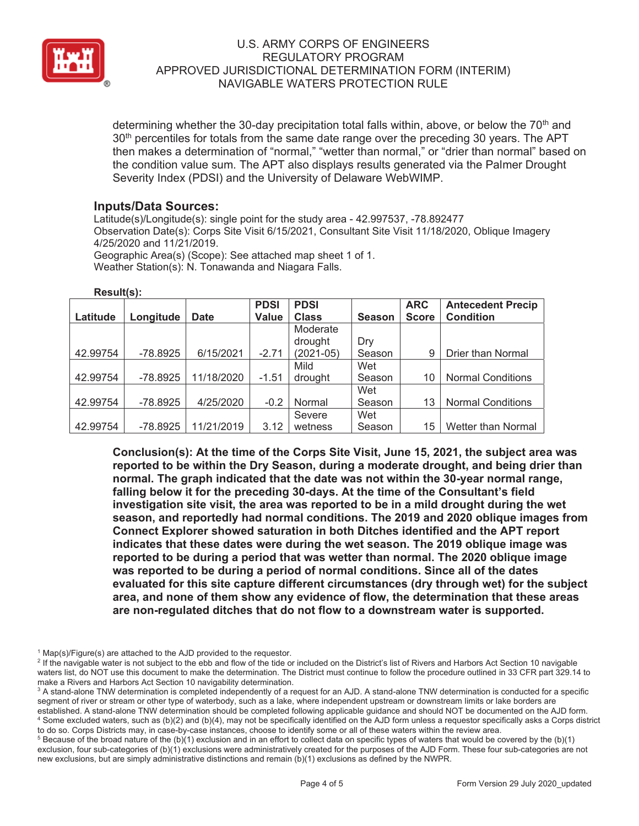

determining whether the 30-day precipitation total falls within, above, or below the 70<sup>th</sup> and 30<sup>th</sup> percentiles for totals from the same date range over the preceding 30 years. The APT then makes a determination of "normal," "wetter than normal," or "drier than normal" based on the condition value sum. The APT also displays results generated via the Palmer Drought Severity Index (PDSI) and the University of Delaware WebWIMP.

## **Inputs/Data Sources:**

Latitude(s)/Longitude(s): single point for the study area - 42.997537, -78.892477 Observation Date(s): Corps Site Visit 6/15/2021, Consultant Site Visit 11/18/2020, Oblique Imagery 4/25/2020 and 11/21/2019. Geographic Area(s) (Scope): See attached map sheet 1 of 1.

Weather Station(s): N. Tonawanda and Niagara Falls.

|          |            |             | <b>PDSI</b> | <b>PDSI</b>  |               | <b>ARC</b>   | <b>Antecedent Precip</b>  |
|----------|------------|-------------|-------------|--------------|---------------|--------------|---------------------------|
| Latitude | Longitude  | <b>Date</b> | Value       | <b>Class</b> | <b>Season</b> | <b>Score</b> | <b>Condition</b>          |
|          |            |             |             | Moderate     |               |              |                           |
|          |            |             |             | drought      | Dry           |              |                           |
| 42.99754 | $-78.8925$ | 6/15/2021   | $-2.71$     | (2021-05)    | Season        | 9            | Drier than Normal         |
|          |            |             |             | Mild         | Wet           |              |                           |
| 42.99754 | $-78.8925$ | 11/18/2020  | $-1.51$     | drought      | Season        | 10           | <b>Normal Conditions</b>  |
|          |            |             |             |              | Wet           |              |                           |
| 42.99754 | $-78.8925$ | 4/25/2020   | $-0.2$      | Normal       | Season        | 13           | <b>Normal Conditions</b>  |
|          |            |             |             | Severe       | Wet           |              |                           |
| 42.99754 | $-78.8925$ | 11/21/2019  | 3.12        | wetness      | Season        | 15           | <b>Wetter than Normal</b> |

**Result(s):** 

**Conclusion(s): At the time of the Corps Site Visit, June 15, 2021, the subject area was reported to be within the Dry Season, during a moderate drought, and being drier than normal. The graph indicated that the date was not within the 30-year normal range, falling below it for the preceding 30-days. At the time of the Consultant's field investigation site visit, the area was reported to be in a mild drought during the wet season, and reportedly had normal conditions. The 2019 and 2020 oblique images from Connect Explorer showed saturation in both Ditches identified and the APT report indicates that these dates were during the wet season. The 2019 oblique image was reported to be during a period that was wetter than normal. The 2020 oblique image was reported to be during a period of normal conditions. Since all of the dates evaluated for this site capture different circumstances (dry through wet) for the subject area, and none of them show any evidence of flow, the determination that these areas are non-regulated ditches that do not flow to a downstream water is supported.** 

<sup>1</sup> Map(s)/Figure(s) are attached to the AJD provided to the requestor.

<sup>&</sup>lt;sup>2</sup> If the navigable water is not subject to the ebb and flow of the tide or included on the District's list of Rivers and Harbors Act Section 10 navigable waters list, do NOT use this document to make the determination. The District must continue to follow the procedure outlined in 33 CFR part 329.14 to make a Rivers and Harbors Act Section 10 navigability determination.

 $^3$  A stand-alone TNW determination is completed independently of a request for an AJD. A stand-alone TNW determination is conducted for a specific segment of river or stream or other type of waterbody, such as a lake, where independent upstream or downstream limits or lake borders are established. A stand-alone TNW determination should be completed following applicable guidance and should NOT be documented on the AJD form. 4 Some excluded waters, such as (b)(2) and (b)(4), may not be specifically identified on the AJD form unless a requestor specifically asks a Corps district to do so. Corps Districts may, in case-by-case instances, choose to identify some or all of these waters within the review area. 5

 $5$  Because of the broad nature of the (b)(1) exclusion and in an effort to collect data on specific types of waters that would be covered by the (b)(1) exclusion, four sub-categories of (b)(1) exclusions were administratively created for the purposes of the AJD Form. These four sub-categories are not new exclusions, but are simply administrative distinctions and remain (b)(1) exclusions as defined by the NWPR.